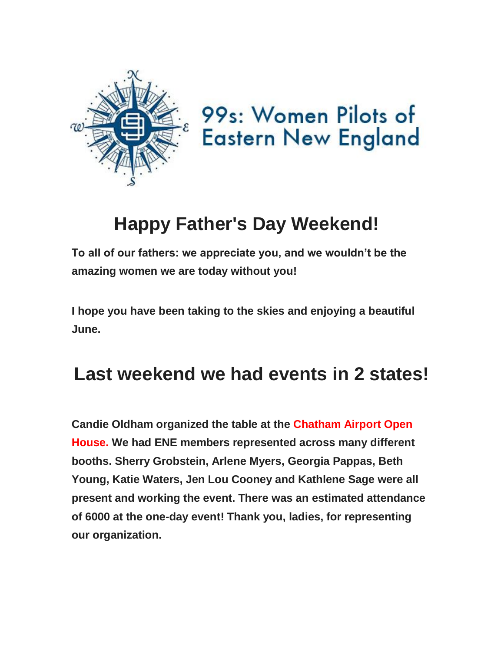

99s: Women Pilots of **Eastern New England** 

## **Happy Father's Day Weekend!**

**To all of our fathers: we appreciate you, and we wouldn't be the amazing women we are today without you!**

**I hope you have been taking to the skies and enjoying a beautiful June.**

#### **Last weekend we had events in 2 states!**

**Candie Oldham organized the table at the Chatham Airport Open House. We had ENE members represented across many different booths. Sherry Grobstein, Arlene Myers, Georgia Pappas, Beth Young, Katie Waters, Jen Lou Cooney and Kathlene Sage were all present and working the event. There was an estimated attendance of 6000 at the one-day event! Thank you, ladies, for representing our organization.**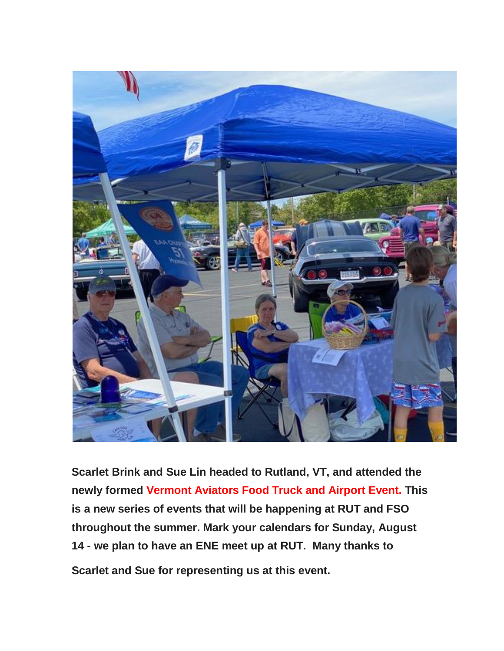

**Scarlet Brink and Sue Lin headed to Rutland, VT, and attended the newly formed Vermont Aviators Food Truck and Airport Event. This is a new series of events that will be happening at RUT and FSO throughout the summer. Mark your calendars for Sunday, August 14 - we plan to have an ENE meet up at RUT. Many thanks to Scarlet and Sue for representing us at this event.**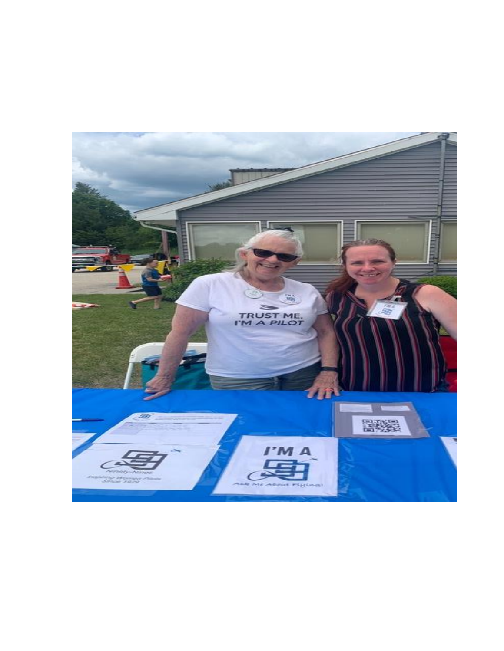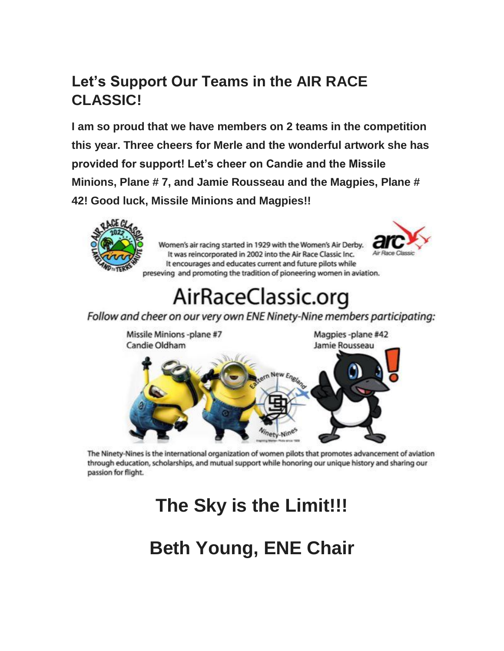#### **Let's Support Our Teams in the AIR RACE CLASSIC!**

**I am so proud that we have members on 2 teams in the competition this year. Three cheers for Merle and the wonderful artwork she has provided for support! Let's cheer on Candie and the Missile Minions, Plane # 7, and Jamie Rousseau and the Magpies, Plane # 42! Good luck, Missile Minions and Magpies!!**



# AirRaceClassic.org

Follow and cheer on our very own ENE Ninety-Nine members participating:



The Ninety-Nines is the international organization of women pilots that promotes advancement of aviation through education, scholarships, and mutual support while honoring our unique history and sharing our passion for flight.

# **The Sky is the Limit!!!**

### **Beth Young, ENE Chair**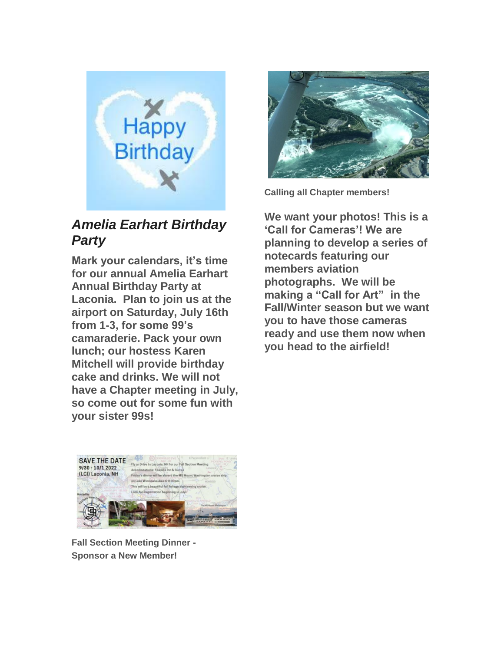

#### *Amelia Earhart Birthday Party*

**Mark your calendars, it's time for our annual Amelia Earhart Annual Birthday Party at Laconia. Plan to join us at the airport on Saturday, July 16th from 1-3, for some 99's camaraderie. Pack your own lunch; our hostess Karen Mitchell will provide birthday cake and drinks. We will not have a Chapter meeting in July, so come out for some fun with your sister 99s!**



**Calling all Chapter members!**

**We want your photos! This is a 'Call for Cameras'! We are planning to develop a series of notecards featuring our members aviation photographs. We will be making a "Call for Art" in the Fall/Winter season but we want you to have those cameras ready and use them now when you head to the airfield!**



**Fall Section Meeting Dinner - Sponsor a New Member!**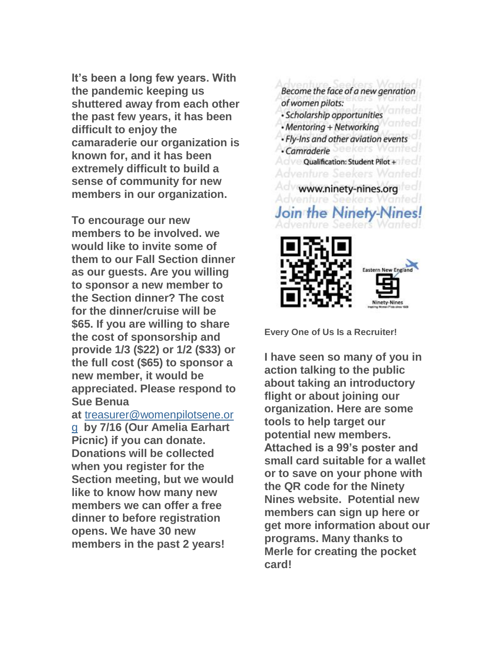**It's been a long few years. With the pandemic keeping us shuttered away from each other the past few years, it has been difficult to enjoy the camaraderie our organization is known for, and it has been extremely difficult to build a sense of community for new members in our organization.**

**To encourage our new members to be involved. we would like to invite some of them to our Fall Section dinner as our guests. Are you willing to sponsor a new member to the Section dinner? The cost for the dinner/cruise will be \$65. If you are willing to share the cost of sponsorship and provide 1/3 (\$22) or 1/2 (\$33) or the full cost (\$65) to sponsor a new member, it would be appreciated. Please respond to Sue Benua** 

**at** [treasurer@womenpilotsene.or](mailto:treasurer@womenpilotsene.org)

[g](mailto:treasurer@womenpilotsene.org) **by 7/16 (Our Amelia Earhart Picnic) if you can donate. Donations will be collected when you register for the Section meeting, but we would like to know how many new members we can offer a free dinner to before registration opens. We have 30 new members in the past 2 years!**



**Every One of Us Is a Recruiter!**

**I have seen so many of you in action talking to the public about taking an introductory flight or about joining our organization. Here are some tools to help target our potential new members. Attached is a 99's poster and small card suitable for a wallet or to save on your phone with the QR code for the Ninety Nines website. Potential new members can sign up here or get more information about our programs. Many thanks to Merle for creating the pocket card!**